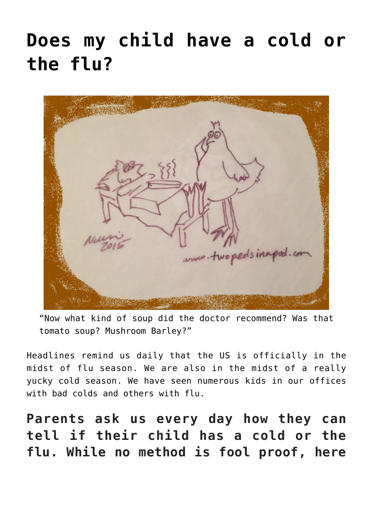# **[Does my child have a cold or](https://www.twopedsinapod.org/2018/01/does-my-child-have-the-flu-or-a-cold/) [the flu?](https://www.twopedsinapod.org/2018/01/does-my-child-have-the-flu-or-a-cold/)**



"Now what kind of soup did the doctor recommend? Was that tomato soup? Mushroom Barley?"

[Headlines](https://www.cbsnews.com/videos/flu-season-reaches-epidemic-levels/) remind us daily that the US is officially in the midst of flu season. We are also in the midst of a really yucky cold season. We have seen numerous kids in our offices with bad colds and others with flu.

**Parents ask us every day how they can tell if their child has a cold or the flu. While no method is fool proof, here**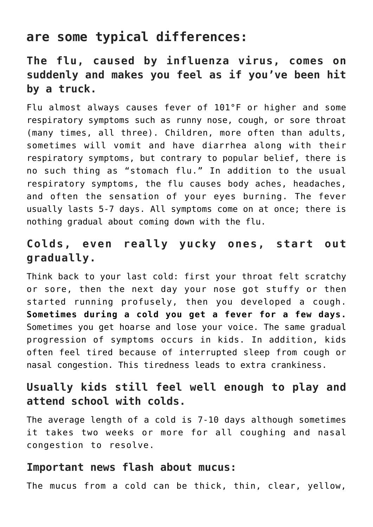## **are some typical differences:**

## **The flu, caused by influenza virus, comes on suddenly and makes you feel as if you've been hit by a truck.**

Flu almost always causes fever of 101°F or higher and some respiratory symptoms such as runny nose, cough, or sore throat (many times, all three). Children, more often than adults, sometimes will vomit and have diarrhea along with their respiratory symptoms, but contrary to popular belief, there is no such thing as "stomach flu." In addition to the usual respiratory symptoms, the flu causes body aches, headaches, and often the sensation of your eyes burning. The fever usually lasts 5-7 days. All symptoms come on at once; there is nothing gradual about coming down with the flu.

#### **Colds, even really yucky ones, start out gradually.**

Think back to your last cold: first your throat felt scratchy or sore, then the next day your nose got stuffy or then started running profusely, then you developed a cough. **Sometimes during a cold you get a fever for a few days.** Sometimes you get hoarse and lose your voice. The same gradual progression of symptoms occurs in kids. In addition, kids often feel tired because of interrupted sleep from cough or nasal congestion. This tiredness leads to extra crankiness.

#### **Usually kids still feel well enough to play and attend school with colds.**

The average length of a cold is 7-10 days although sometimes it takes two weeks or more for all coughing and nasal congestion to resolve.

#### **Important news flash about mucus:**

The mucus from a cold can be thick, thin, clear, yellow,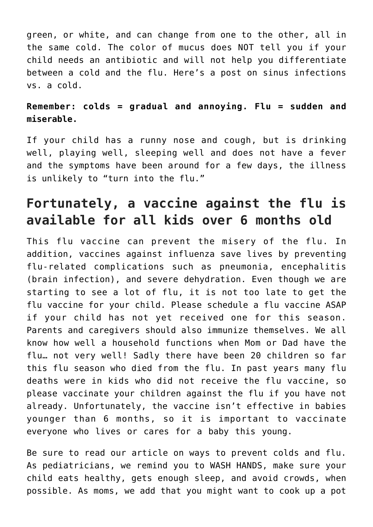green, or white, and can change from one to the other, all in the same cold. The color of mucus does NOT tell you if your child needs an antibiotic and will not help you differentiate between a cold and the flu. Here's a post on [sinus infections](https://www.twopedsinapod.org/2015/10/sinus-infection-or-a-cold/) [vs. a cold.](https://www.twopedsinapod.org/2015/10/sinus-infection-or-a-cold/)

#### **Remember: colds = gradual and annoying. Flu = sudden and miserable.**

If your child has a runny nose and cough, but is drinking well, playing well, sleeping well and does not have a fever and the symptoms have been around for a few days, the illness is unlikely to "turn into the flu."

# **Fortunately, a vaccine against the flu is available for all kids over 6 months old**

This flu vaccine can prevent the misery of the flu. In addition, vaccines against influenza save lives by preventing flu-related complications such as pneumonia, encephalitis (brain infection), and severe dehydration. Even though we are starting to see a lot of flu, it is not too late to get the flu vaccine for your child. Please schedule a flu vaccine ASAP if your child has not yet received one for this season. Parents and caregivers should also immunize themselves. We all know how well a household functions when Mom or Dad have the flu… not very well! Sadly there have been [20 children so far](https://www.cdc.gov/flu/weekly/index.htm) [this flu season who died from the flu](https://www.cdc.gov/flu/weekly/index.htm). In past years many flu deaths were in kids who did not receive the flu vaccine, so please vaccinate your children against the flu if you have not already. Unfortunately, the vaccine isn't effective in babies younger than 6 months, so it is important to vaccinate everyone who lives or cares for a baby this young.

Be sure to read our [article on ways to prevent colds and flu.](https://www.mom365.com/toddler/toddler-health/how-to-prevent-cold-and-flu.aspx) As pediatricians, we remind you to WASH HANDS, make sure your child eats healthy, gets enough sleep, and avoid crowds, when possible. As moms, we add that you might want to cook up a pot